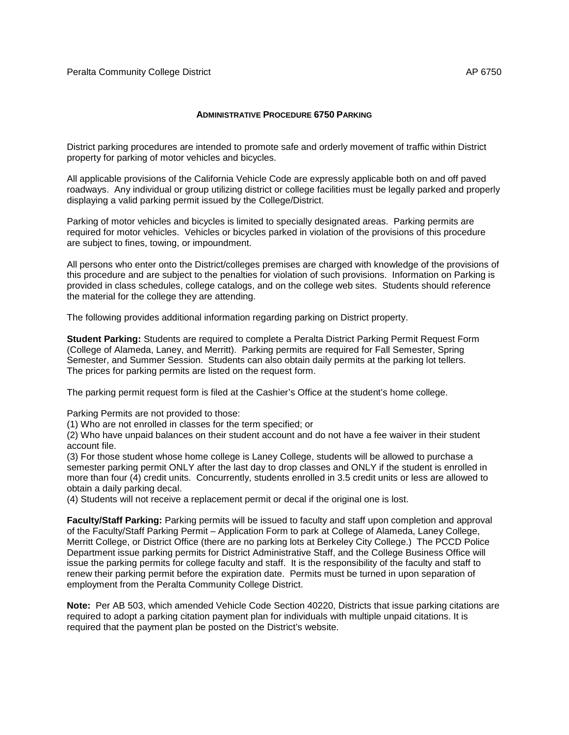## **ADMINISTRATIVE PROCEDURE 6750 PARKING**

District parking procedures are intended to promote safe and orderly movement of traffic within District property for parking of motor vehicles and bicycles.

All applicable provisions of the California Vehicle Code are expressly applicable both on and off paved roadways. Any individual or group utilizing district or college facilities must be legally parked and properly displaying a valid parking permit issued by the College/District.

Parking of motor vehicles and bicycles is limited to specially designated areas. Parking permits are required for motor vehicles. Vehicles or bicycles parked in violation of the provisions of this procedure are subject to fines, towing, or impoundment.

All persons who enter onto the District/colleges premises are charged with knowledge of the provisions of this procedure and are subject to the penalties for violation of such provisions. Information on Parking is provided in class schedules, college catalogs, and on the college web sites. Students should reference the material for the college they are attending.

The following provides additional information regarding parking on District property.

**Student Parking:** Students are required to complete a Peralta District Parking Permit Request Form (College of Alameda, Laney, and Merritt). Parking permits are required for Fall Semester, Spring Semester, and Summer Session. Students can also obtain daily permits at the parking lot tellers. The prices for parking permits are listed on the request form.

The parking permit request form is filed at the Cashier's Office at the student's home college.

Parking Permits are not provided to those:

(1) Who are not enrolled in classes for the term specified; or

(2) Who have unpaid balances on their student account and do not have a fee waiver in their student account file.

(3) For those student whose home college is Laney College, students will be allowed to purchase a semester parking permit ONLY after the last day to drop classes and ONLY if the student is enrolled in more than four (4) credit units. Concurrently, students enrolled in 3.5 credit units or less are allowed to obtain a daily parking decal.

(4) Students will not receive a replacement permit or decal if the original one is lost.

**Faculty/Staff Parking:** Parking permits will be issued to faculty and staff upon completion and approval of the Faculty/Staff Parking Permit – Application Form to park at College of Alameda, Laney College, Merritt College, or District Office (there are no parking lots at Berkeley City College.) The PCCD Police Department issue parking permits for District Administrative Staff, and the College Business Office will issue the parking permits for college faculty and staff. It is the responsibility of the faculty and staff to renew their parking permit before the expiration date. Permits must be turned in upon separation of employment from the Peralta Community College District.

**Note:** Per AB 503, which amended Vehicle Code Section 40220, Districts that issue parking citations are required to adopt a parking citation payment plan for individuals with multiple unpaid citations. It is required that the payment plan be posted on the District's website.